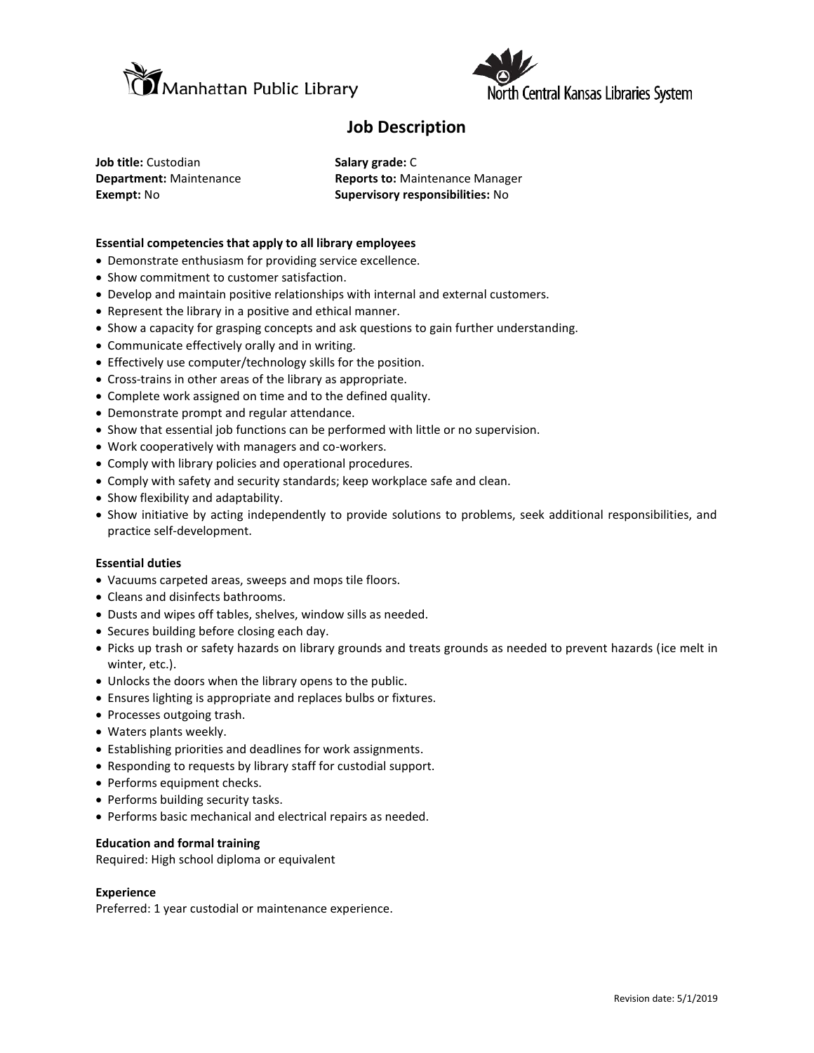



## **Job Description**

**Job title:** Custodian **Salary grade:** C

**Department:** Maintenance **Reports to:** Maintenance Manager **Exempt:** No **Supervisory responsibilities:** No

### **Essential competencies that apply to all library employees**

- Demonstrate enthusiasm for providing service excellence.
- Show commitment to customer satisfaction.
- Develop and maintain positive relationships with internal and external customers.
- Represent the library in a positive and ethical manner.
- Show a capacity for grasping concepts and ask questions to gain further understanding.
- Communicate effectively orally and in writing.
- Effectively use computer/technology skills for the position.
- Cross-trains in other areas of the library as appropriate.
- Complete work assigned on time and to the defined quality.
- Demonstrate prompt and regular attendance.
- Show that essential job functions can be performed with little or no supervision.
- Work cooperatively with managers and co-workers.
- Comply with library policies and operational procedures.
- Comply with safety and security standards; keep workplace safe and clean.
- Show flexibility and adaptability.
- Show initiative by acting independently to provide solutions to problems, seek additional responsibilities, and practice self-development.

#### **Essential duties**

- Vacuums carpeted areas, sweeps and mops tile floors.
- Cleans and disinfects bathrooms.
- Dusts and wipes off tables, shelves, window sills as needed.
- Secures building before closing each day.
- Picks up trash or safety hazards on library grounds and treats grounds as needed to prevent hazards (ice melt in winter, etc.).
- Unlocks the doors when the library opens to the public.
- Ensures lighting is appropriate and replaces bulbs or fixtures.
- Processes outgoing trash.
- Waters plants weekly.
- Establishing priorities and deadlines for work assignments.
- Responding to requests by library staff for custodial support.
- Performs equipment checks.
- Performs building security tasks.
- Performs basic mechanical and electrical repairs as needed.

#### **Education and formal training**

Required: High school diploma or equivalent

#### **Experience**

Preferred: 1 year custodial or maintenance experience.